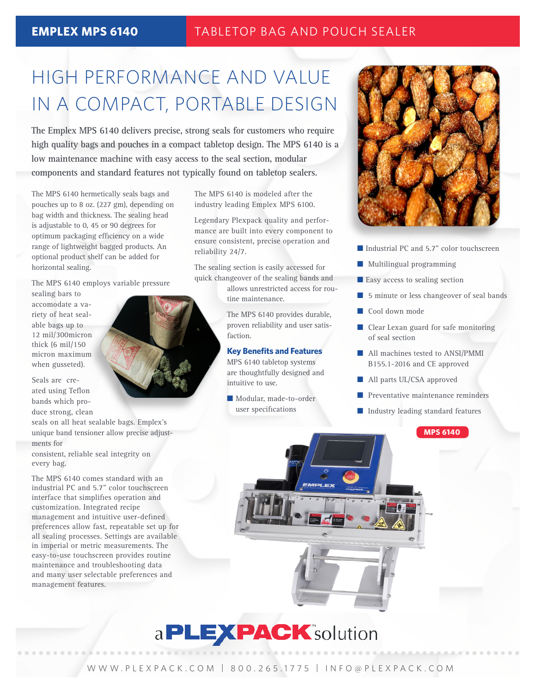## HIGH PERFORMANCE AND VALUE IN A COMPACT, PORTABLE DESIGN

**The Emplex MPS 6140 delivers precise, strong seals for customers who require high quality bags and pouches in a compact tabletop design. The MPS 6140 is a low maintenance machine with easy access to the seal section, modular components and standard features not typically found on tabletop sealers.**

The MPS 6140 hermetically seals bags and pouches up to 8 oz. (227 gm), depending on bag width and thickness. The sealing head is adjustable to 0, 45 or 90 degrees for optimum packaging efficiency on a wide range of lightweight bagged products. An optional product shelf can be added for horizontal sealing.

The MPS 6140 employs variable pressure

sealing bars to accomodate a variety of heat sealable bags up to 12 mil/300micron thick (6 mil/150 micron maximum when gusseted).

Seals are created using Teflon bands which produce strong, clean

seals on all heat sealable bags. Emplex's unique band tensioner allow precise adjustments for

consistent, reliable seal integrity on every bag.

The MPS 6140 comes standard with an industrial PC and 5.7" color touchscreen interface that simplifies operation and customization. Integrated recipe management and intuitive user-defined preferences allow fast, repeatable set up for all sealing processes. Settings are available in imperial or metric measurements. The easy-to-use touchscreen provides routine maintenance and troubleshooting data and many user selectable preferences and management features.

The MPS 6140 is modeled after the industry leading Emplex MPS 6100.

Legendary Plexpack quality and performance are built into every component to ensure consistent, precise operation and reliability 24/7.

The sealing section is easily accessed for quick changeover of the sealing bands and allows unrestricted access for routine maintenance.

> The MPS 6140 provides durable, proven reliability and user satisfaction.

### **Key Benefits and Features**

MPS 6140 tabletop systems are thoughtfully designed and intuitive to use.

■ Modular, made-to-order user specifications



- Industrial PC and 5.7" color touchscreen
- Multilingual programming
- Easy access to sealing section
- 5 minute or less changeover of seal bands
- Cool down mode
- Clear Lexan guard for safe monitoring of seal section
- All machines tested to ANSI/PMMI B155.1-2016 and CE approved
- All parts UL/CSA approved
- Preventative maintenance reminders
- Industry leading standard features

#### **B-44-90 MPS 6140**

. . . . . . . . . . . . . . .



## aPLEXPACK solution